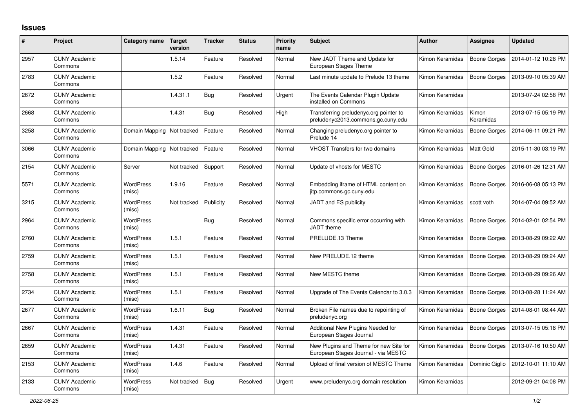## **Issues**

| #    | Project                         | Category name                | <b>Target</b><br>version | Tracker    | <b>Status</b> | Priority<br>name | <b>Subject</b>                                                                | <b>Author</b>   | Assignee            | <b>Updated</b>      |
|------|---------------------------------|------------------------------|--------------------------|------------|---------------|------------------|-------------------------------------------------------------------------------|-----------------|---------------------|---------------------|
| 2957 | <b>CUNY Academic</b><br>Commons |                              | 1.5.14                   | Feature    | Resolved      | Normal           | New JADT Theme and Update for<br>European Stages Theme                        | Kimon Keramidas | Boone Gorges        | 2014-01-12 10:28 PM |
| 2783 | <b>CUNY Academic</b><br>Commons |                              | 1.5.2                    | Feature    | Resolved      | Normal           | Last minute update to Prelude 13 theme                                        | Kimon Keramidas | <b>Boone Gorges</b> | 2013-09-10 05:39 AM |
| 2672 | <b>CUNY Academic</b><br>Commons |                              | 1.4.31.1                 | Bug        | Resolved      | Urgent           | The Events Calendar Plugin Update<br>installed on Commons                     | Kimon Keramidas |                     | 2013-07-24 02:58 PM |
| 2668 | <b>CUNY Academic</b><br>Commons |                              | 1.4.31                   | Bug        | Resolved      | High             | Transferring preludenyc.org pointer to<br>preludenyc2013.commons.gc.cuny.edu  | Kimon Keramidas | Kimon<br>Keramidas  | 2013-07-15 05:19 PM |
| 3258 | <b>CUNY Academic</b><br>Commons | Domain Mapping   Not tracked |                          | Feature    | Resolved      | Normal           | Changing preludenyc.org pointer to<br>Prelude 14                              | Kimon Keramidas | <b>Boone Gorges</b> | 2014-06-11 09:21 PM |
| 3066 | <b>CUNY Academic</b><br>Commons | Domain Mapping   Not tracked |                          | Feature    | Resolved      | Normal           | <b>VHOST Transfers for two domains</b>                                        | Kimon Keramidas | <b>Matt Gold</b>    | 2015-11-30 03:19 PM |
| 2154 | <b>CUNY Academic</b><br>Commons | Server                       | Not tracked              | Support    | Resolved      | Normal           | Update of vhosts for MESTC                                                    | Kimon Keramidas | <b>Boone Gorges</b> | 2016-01-26 12:31 AM |
| 5571 | <b>CUNY Academic</b><br>Commons | <b>WordPress</b><br>(misc)   | 1.9.16                   | Feature    | Resolved      | Normal           | Embedding iframe of HTML content on<br>jitp.commons.gc.cuny.edu               | Kimon Keramidas | Boone Gorges        | 2016-06-08 05:13 PM |
| 3215 | <b>CUNY Academic</b><br>Commons | <b>WordPress</b><br>(misc)   | Not tracked              | Publicity  | Resolved      | Normal           | JADT and ES publicity                                                         | Kimon Keramidas | scott voth          | 2014-07-04 09:52 AM |
| 2964 | <b>CUNY Academic</b><br>Commons | WordPress<br>(misc)          |                          | <b>Bug</b> | Resolved      | Normal           | Commons specific error occurring with<br>JADT theme                           | Kimon Keramidas | Boone Gorges        | 2014-02-01 02:54 PM |
| 2760 | <b>CUNY Academic</b><br>Commons | <b>WordPress</b><br>(misc)   | 1.5.1                    | Feature    | Resolved      | Normal           | PRELUDE.13 Theme                                                              | Kimon Keramidas | <b>Boone Gorges</b> | 2013-08-29 09:22 AM |
| 2759 | <b>CUNY Academic</b><br>Commons | WordPress<br>(misc)          | 1.5.1                    | Feature    | Resolved      | Normal           | New PRELUDE.12 theme                                                          | Kimon Keramidas | Boone Gorges        | 2013-08-29 09:24 AM |
| 2758 | <b>CUNY Academic</b><br>Commons | <b>WordPress</b><br>(misc)   | 1.5.1                    | Feature    | Resolved      | Normal           | New MESTC theme                                                               | Kimon Keramidas | <b>Boone Gorges</b> | 2013-08-29 09:26 AM |
| 2734 | <b>CUNY Academic</b><br>Commons | WordPress<br>(misc)          | 1.5.1                    | Feature    | Resolved      | Normal           | Upgrade of The Events Calendar to 3.0.3                                       | Kimon Keramidas | <b>Boone Gorges</b> | 2013-08-28 11:24 AM |
| 2677 | <b>CUNY Academic</b><br>Commons | <b>WordPress</b><br>(misc)   | 1.6.11                   | Bug        | Resolved      | Normal           | Broken File names due to repointing of<br>preludenyc.org                      | Kimon Keramidas | <b>Boone Gorges</b> | 2014-08-01 08:44 AM |
| 2667 | <b>CUNY Academic</b><br>Commons | WordPress<br>(misc)          | 1.4.31                   | Feature    | Resolved      | Normal           | Additional New Plugins Needed for<br>European Stages Journal                  | Kimon Keramidas | Boone Gorges        | 2013-07-15 05:18 PM |
| 2659 | <b>CUNY Academic</b><br>Commons | <b>WordPress</b><br>(misc)   | 1.4.31                   | Feature    | Resolved      | Normal           | New Plugins and Theme for new Site for<br>European Stages Journal - via MESTC | Kimon Keramidas | <b>Boone Gorges</b> | 2013-07-16 10:50 AM |
| 2153 | <b>CUNY Academic</b><br>Commons | <b>WordPress</b><br>(misc)   | 1.4.6                    | Feature    | Resolved      | Normal           | Upload of final version of MESTC Theme                                        | Kimon Keramidas | Dominic Giglio      | 2012-10-01 11:10 AM |
| 2133 | <b>CUNY Academic</b><br>Commons | <b>WordPress</b><br>(misc)   | Not tracked              | Bug        | Resolved      | Urgent           | www.preludenyc.org domain resolution                                          | Kimon Keramidas |                     | 2012-09-21 04:08 PM |